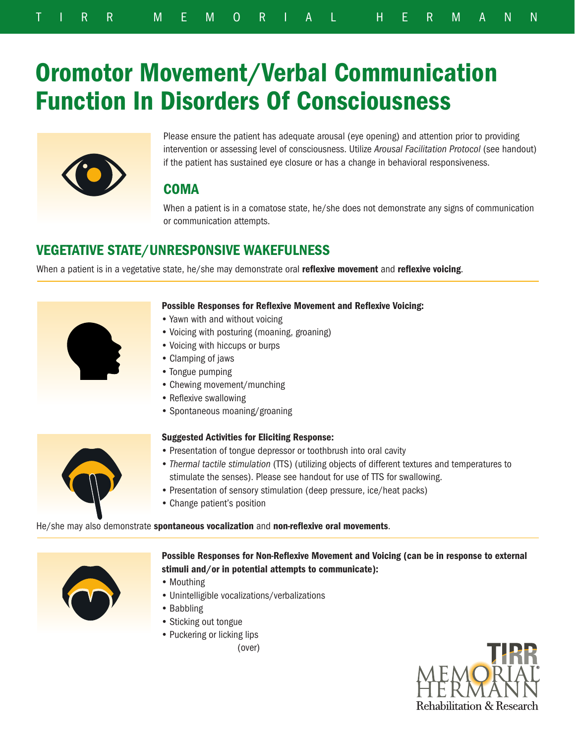# Oromotor Movement/Verbal Communication Function In Disorders Of Consciousness



Please ensure the patient has adequate arousal (eye opening) and attention prior to providing intervention or assessing level of consciousness. Utilize *Arousal Facilitation Protocol* (see handout) if the patient has sustained eye closure or has a change in behavioral responsiveness.

# **COMA**

When a patient is in a comatose state, he/she does not demonstrate any signs of communication or communication attempts.

# VEGETATIVE STATE/UNRESPONSIVE WAKEFULNESS

When a patient is in a vegetative state, he/she may demonstrate oral reflexive movement and reflexive voicing.



#### Possible Responses for Reflexive Movement and Reflexive Voicing:

- Yawn with and without voicing
- Voicing with posturing (moaning, groaning)
- Voicing with hiccups or burps
- Clamping of jaws
- Tongue pumping
- Chewing movement/munching
- Reflexive swallowing
- Spontaneous moaning/groaning

#### Suggested Activities for Eliciting Response:



- Presentation of tongue depressor or toothbrush into oral cavity
- *Thermal tactile stimulation* (TTS) (utilizing objects of different textures and temperatures to stimulate the senses). Please see handout for use of TTS for swallowing.
- Presentation of sensory stimulation (deep pressure, ice/heat packs)
- Change patient's position

He/she may also demonstrate spontaneous vocalization and non-reflexive oral movements.



Possible Responses for Non-Reflexive Movement and Voicing (can be in response to external stimuli and/or in potential attempts to communicate):

- Mouthing
- Unintelligible vocalizations/verbalizations
- Babbling
- Sticking out tongue
- Puckering or licking lips

(over)